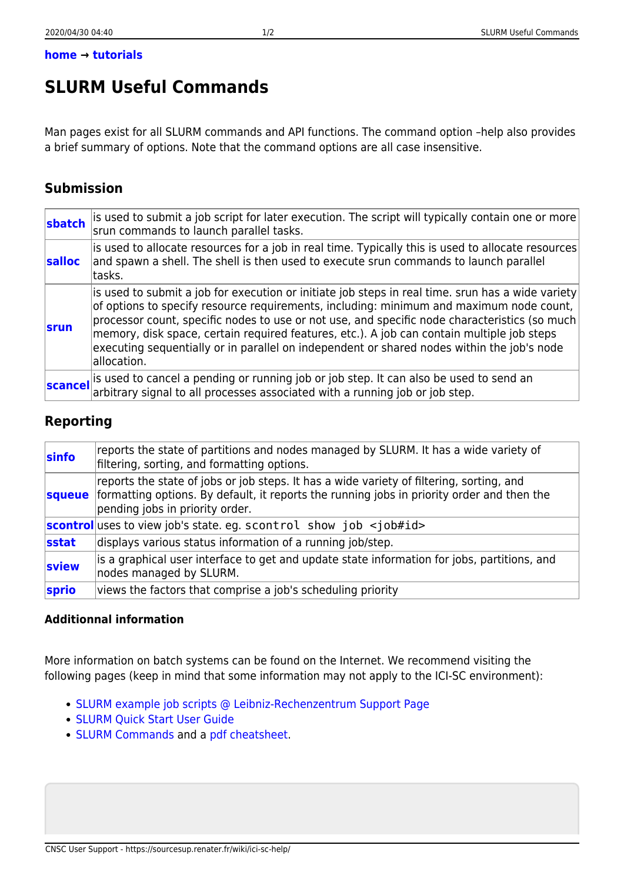## **SLURM Useful Commands**

Man pages exist for all SLURM commands and API functions. The command option –help also provides a brief summary of options. Note that the command options are all case insensitive.

## **Submission**

| sbatch      | is used to submit a job script for later execution. The script will typically contain one or more<br>srun commands to launch parallel tasks.                                                                                                                                                                                                                                                                                                                                                             |
|-------------|----------------------------------------------------------------------------------------------------------------------------------------------------------------------------------------------------------------------------------------------------------------------------------------------------------------------------------------------------------------------------------------------------------------------------------------------------------------------------------------------------------|
| salloc      | is used to allocate resources for a job in real time. Typically this is used to allocate resources<br>and spawn a shell. The shell is then used to execute srun commands to launch parallel<br>ltasks.                                                                                                                                                                                                                                                                                                   |
| <b>srun</b> | is used to submit a job for execution or initiate job steps in real time. srun has a wide variety<br>of options to specify resource requirements, including: minimum and maximum node count,<br>processor count, specific nodes to use or not use, and specific node characteristics (so much<br>memory, disk space, certain required features, etc.). A job can contain multiple job steps<br>executing sequentially or in parallel on independent or shared nodes within the job's node<br>allocation. |
| scancel     | is used to cancel a pending or running job or job step. It can also be used to send an<br>arbitrary signal to all processes associated with a running job or job step.                                                                                                                                                                                                                                                                                                                                   |

## **Reporting**

| sinfo | reports the state of partitions and nodes managed by SLURM. It has a wide variety of<br>filtering, sorting, and formatting options.                                                                                              |
|-------|----------------------------------------------------------------------------------------------------------------------------------------------------------------------------------------------------------------------------------|
|       | reports the state of jobs or job steps. It has a wide variety of filtering, sorting, and<br>squeue formatting options. By default, it reports the running jobs in priority order and then the<br>pending jobs in priority order. |
|       | <b>scontrol</b> uses to view job's state. eg. scontrol show job $\lt j$ ob#id>                                                                                                                                                   |
| sstat | displays various status information of a running job/step.                                                                                                                                                                       |
| sview | is a graphical user interface to get and update state information for jobs, partitions, and<br>nodes managed by SLURM.                                                                                                           |
| sprio | views the factors that comprise a job's scheduling priority                                                                                                                                                                      |

## **Additionnal information**

More information on batch systems can be found on the Internet. We recommend visiting the following pages (keep in mind that some information may not apply to the ICI-SC environment):

- [SLURM example job scripts @ Leibniz-Rechenzentrum Support Page](https://www.lrz.de/services/compute/linux-cluster/batch_parallel/example_jobs/)
- [SLURM Quick Start User Guide](http://slurm.schedmd.com/quickstart.html)
- [SLURM Commands](http://slurm.schedmd.com/man_index.html) and a [pdf cheatsheet.](http://slurm.schedmd.com/pdfs/summary.pdf)